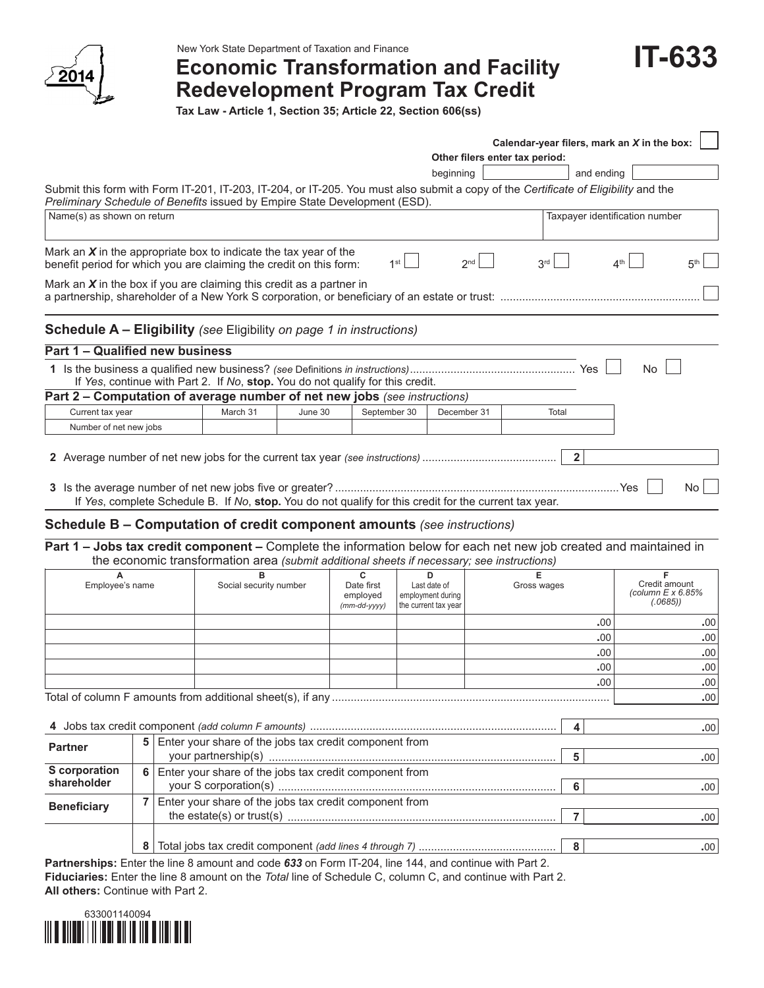

New York State Department of Taxation and Finance

# **Economic Transformation and Facility Redevelopment Program Tax Credit**

**IT-633**

**Tax Law - Article 1, Section 35; Article 22, Section 606(ss)**

|                                                                                                                                                                                                                   |                        |         |                             |                                        |                                | Calendar-year filers, mark an X in the box: |                                                |
|-------------------------------------------------------------------------------------------------------------------------------------------------------------------------------------------------------------------|------------------------|---------|-----------------------------|----------------------------------------|--------------------------------|---------------------------------------------|------------------------------------------------|
|                                                                                                                                                                                                                   |                        |         |                             |                                        | Other filers enter tax period: |                                             |                                                |
|                                                                                                                                                                                                                   |                        |         |                             | beginning                              |                                | and ending                                  |                                                |
| Submit this form with Form IT-201, IT-203, IT-204, or IT-205. You must also submit a copy of the Certificate of Eligibility and the<br>Preliminary Schedule of Benefits issued by Empire State Development (ESD). |                        |         |                             |                                        |                                |                                             |                                                |
| Name(s) as shown on return                                                                                                                                                                                        |                        |         |                             |                                        |                                | Taxpayer identification number              |                                                |
| Mark an $X$ in the appropriate box to indicate the tax year of the<br>benefit period for which you are claiming the credit on this form:                                                                          |                        |         | 1 <sup>st</sup>             | 2 <sub>nd</sub>                        | 3 <sup>rd</sup>                | 4 <sup>th</sup>                             | 5 <sup>th</sup>                                |
| Mark an $X$ in the box if you are claiming this credit as a partner in                                                                                                                                            |                        |         |                             |                                        |                                |                                             |                                                |
| <b>Schedule A – Eligibility</b> (see Eligibility on page 1 in instructions)                                                                                                                                       |                        |         |                             |                                        |                                |                                             |                                                |
| Part 1 - Qualified new business                                                                                                                                                                                   |                        |         |                             |                                        |                                |                                             |                                                |
| If Yes, continue with Part 2. If No, stop. You do not qualify for this credit.                                                                                                                                    |                        |         |                             |                                        |                                |                                             | <b>No</b>                                      |
| Part 2 – Computation of average number of net new jobs (see instructions)                                                                                                                                         |                        |         |                             |                                        |                                |                                             |                                                |
| Current tax year                                                                                                                                                                                                  | March 31               | June 30 | September 30                | December 31                            | Total                          |                                             |                                                |
| Number of net new jobs                                                                                                                                                                                            |                        |         |                             |                                        |                                |                                             |                                                |
|                                                                                                                                                                                                                   |                        |         |                             |                                        |                                | $\overline{2}$                              |                                                |
| If Yes, complete Schedule B. If No, stop. You do not qualify for this credit for the current tax year.                                                                                                            |                        |         |                             |                                        |                                |                                             | <b>No</b>                                      |
| <b>Schedule B - Computation of credit component amounts (see instructions)</b>                                                                                                                                    |                        |         |                             |                                        |                                |                                             |                                                |
| Part 1 - Jobs tax credit component - Complete the information below for each net new job created and maintained in<br>the economic transformation area (submit additional sheets if necessary; see instructions)  |                        |         |                             |                                        |                                |                                             |                                                |
| Employee's name                                                                                                                                                                                                   | Social security number |         | C<br>Date first<br>employed | n<br>Last date of<br>employment during | Gross wages                    |                                             | Credit amount<br>(column E x 6.85%<br>(.0685)) |

|                    |                                                             |                                                        |                                                        |  | employed<br>$(mm$ -dd-yyyy) | employment during<br>the current tax year |                  |     | (column $E \times 6.85\%$<br>(.0685)) |
|--------------------|-------------------------------------------------------------|--------------------------------------------------------|--------------------------------------------------------|--|-----------------------------|-------------------------------------------|------------------|-----|---------------------------------------|
|                    |                                                             |                                                        |                                                        |  |                             |                                           |                  | .00 | .00 <sub>1</sub>                      |
|                    |                                                             |                                                        |                                                        |  |                             |                                           |                  | .00 | .00                                   |
|                    |                                                             |                                                        |                                                        |  |                             |                                           |                  | .00 | .00                                   |
|                    |                                                             |                                                        |                                                        |  |                             |                                           |                  | .00 | .00.                                  |
|                    | .00                                                         |                                                        |                                                        |  |                             |                                           | .00.             |     |                                       |
|                    |                                                             |                                                        |                                                        |  |                             |                                           |                  |     | .00                                   |
|                    |                                                             |                                                        |                                                        |  |                             |                                           |                  |     |                                       |
|                    |                                                             |                                                        |                                                        |  |                             |                                           |                  |     | .00 <sub>1</sub>                      |
| <b>Partner</b>     | 5                                                           | Enter your share of the jobs tax credit component from |                                                        |  |                             |                                           |                  |     |                                       |
|                    |                                                             |                                                        |                                                        |  |                             | 5                                         | .00 <sub>1</sub> |     |                                       |
| S corporation      | Enter your share of the jobs tax credit component from<br>6 |                                                        |                                                        |  |                             |                                           |                  |     |                                       |
| shareholder        |                                                             |                                                        |                                                        |  |                             |                                           |                  |     | .00                                   |
| <b>Beneficiary</b> |                                                             |                                                        | Enter your share of the jobs tax credit component from |  |                             |                                           |                  |     |                                       |
|                    |                                                             |                                                        |                                                        |  |                             |                                           | .00              |     |                                       |

**<sup>8</sup>** Total jobs tax credit component *(add lines 4 through 7)* ............................................ **8 .**00 **Partnerships:** Enter the line 8 amount and code *633* on Form IT-204, line 144, and continue with Part 2. **Fiduciaries:** Enter the line 8 amount on the *Total* line of Schedule C, column C, and continue with Part 2. **All others:** Continue with Part 2.

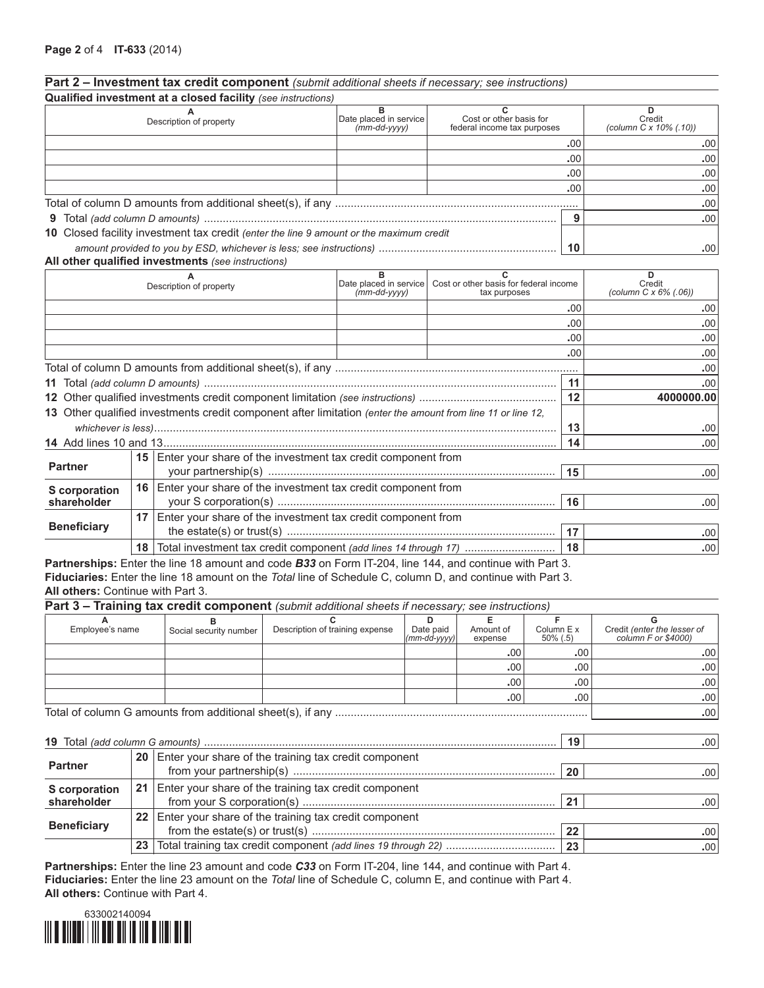# **Part 2 – Investment tax credit component** *(submit additional sheets if necessary; see instructions)*

|                    |    | Qualified investment at a closed facility (see instructions)                                                |                                           |                                                                        |     |                                              |
|--------------------|----|-------------------------------------------------------------------------------------------------------------|-------------------------------------------|------------------------------------------------------------------------|-----|----------------------------------------------|
|                    |    | Description of property                                                                                     | Date placed in service<br>$(mm$ -dd-yyyy) | C<br>Cost or other basis for<br>federal income tax purposes            |     | D<br>Credit<br>(column C x 10% (.10))        |
|                    |    |                                                                                                             |                                           |                                                                        | .00 | .00                                          |
|                    |    |                                                                                                             |                                           |                                                                        | .00 | .00                                          |
|                    |    |                                                                                                             |                                           |                                                                        | .00 | .00                                          |
|                    |    |                                                                                                             |                                           |                                                                        | .00 | .00                                          |
|                    |    |                                                                                                             |                                           |                                                                        |     | .00                                          |
|                    |    |                                                                                                             |                                           |                                                                        | 9   | .00                                          |
|                    |    | 10 Closed facility investment tax credit (enter the line 9 amount or the maximum credit                     |                                           |                                                                        |     |                                              |
|                    |    |                                                                                                             |                                           |                                                                        | 10  | .00                                          |
|                    |    | All other qualified investments (see instructions)                                                          |                                           |                                                                        |     |                                              |
|                    |    | Description of property                                                                                     | Date placed in service<br>$(mm$ -dd-yyyy) | $\mathbf{C}$<br>Cost or other basis for federal income<br>tax purposes |     | D<br>Credit<br>(column $C \times 6\%$ (.06)) |
|                    |    |                                                                                                             |                                           |                                                                        | .00 | .00.                                         |
|                    |    |                                                                                                             |                                           |                                                                        | .00 | .00                                          |
|                    |    |                                                                                                             |                                           |                                                                        | .00 | .00                                          |
|                    |    |                                                                                                             |                                           |                                                                        | .00 | .00                                          |
|                    |    |                                                                                                             |                                           |                                                                        |     | .00                                          |
|                    |    |                                                                                                             |                                           |                                                                        | 11  | .00                                          |
|                    |    |                                                                                                             |                                           |                                                                        | 12  | 4000000.00                                   |
|                    |    | 13 Other qualified investments credit component after limitation (enter the amount from line 11 or line 12, |                                           |                                                                        |     |                                              |
|                    |    |                                                                                                             |                                           |                                                                        | 13  | .00                                          |
|                    |    |                                                                                                             |                                           |                                                                        | 14  | .00                                          |
| <b>Partner</b>     |    | 15 Enter your share of the investment tax credit component from                                             |                                           |                                                                        |     |                                              |
|                    |    |                                                                                                             | 15                                        | .00.                                                                   |     |                                              |
| S corporation      |    | 16 Enter your share of the investment tax credit component from                                             |                                           |                                                                        |     |                                              |
| shareholder        |    |                                                                                                             |                                           |                                                                        | 16  | .00.                                         |
| <b>Beneficiary</b> | 17 | Enter your share of the investment tax credit component from<br>the estate(a) or trust(a)                   |                                           |                                                                        |     | $\sim$                                       |

**18** Total investment tax credit component *(add lines 14 through 17)* ............................. **18 .**00 **Partnerships:** Enter the line 18 amount and code *B33* on Form IT-204, line 144, and continue with Part 3. **Fiduciaries:** Enter the line 18 amount on the *Total* line of Schedule C, column D, and continue with Part 3. **All others:** Continue with Part 3.

|                    |         |                        | <b>Part 3 – Training tax credit component</b> (submit additional sheets if necessary; see instructions) |                              |                      |                           |                                                    |
|--------------------|---------|------------------------|---------------------------------------------------------------------------------------------------------|------------------------------|----------------------|---------------------------|----------------------------------------------------|
|                    |         |                        |                                                                                                         |                              |                      |                           | G                                                  |
| Employee's name    |         | Social security number | Description of training expense                                                                         | Date paid<br>$(mm$ -dd-yyyy) | Amount of<br>expense | Column E x<br>$50\%$ (.5) | Credit (enter the lesser of<br>column F or \$4000) |
|                    |         |                        |                                                                                                         |                              | .00                  | .00                       | .00                                                |
|                    |         |                        |                                                                                                         |                              | .00                  | .00                       | .00                                                |
|                    |         |                        |                                                                                                         |                              | .00                  | .00                       | .00                                                |
|                    |         |                        |                                                                                                         |                              | .00                  | .00                       | .00                                                |
|                    |         |                        |                                                                                                         |                              |                      |                           | .00                                                |
|                    |         |                        |                                                                                                         |                              |                      |                           |                                                    |
|                    |         |                        |                                                                                                         |                              |                      | 19                        | .00.                                               |
|                    | 20      |                        | Enter your share of the training tax credit component                                                   |                              |                      |                           |                                                    |
| <b>Partner</b>     |         |                        |                                                                                                         |                              |                      | -20                       | .00                                                |
| S corporation      | 21      |                        | Enter your share of the training tax credit component                                                   |                              |                      |                           |                                                    |
| shareholder<br>21  |         |                        |                                                                                                         |                              |                      | .00                       |                                                    |
|                    | $22 \,$ |                        | Enter your share of the training tax credit component                                                   |                              |                      |                           |                                                    |
| <b>Beneficiary</b> |         |                        | 22                                                                                                      | .00                          |                      |                           |                                                    |
|                    | 23      |                        |                                                                                                         |                              |                      | 23                        | .00                                                |

the estate(s) or trust(s) ...................................................................................... **17 .**00

**Partnerships:** Enter the line 23 amount and code *C33* on Form IT-204, line 144, and continue with Part 4. **Fiduciaries:** Enter the line 23 amount on the *Total* line of Schedule C, column E, and continue with Part 4. **All others:** Continue with Part 4.

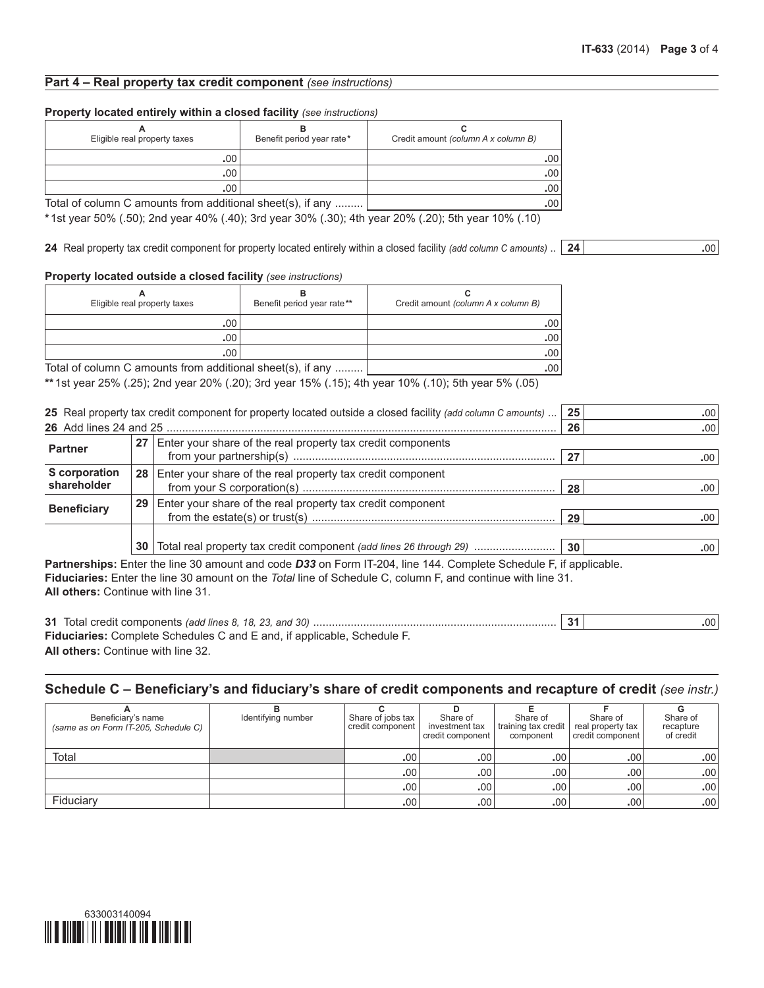# **Part 4 – Real property tax credit component** *(see instructions)*

#### **Property located entirely within a closed facility** *(see instructions)*

| Eligible real property taxes                               | Benefit period year rate* | Credit amount (column A x column B) |
|------------------------------------------------------------|---------------------------|-------------------------------------|
| .00                                                        |                           | .00                                 |
| .00                                                        |                           | .00                                 |
| .00                                                        |                           | .00                                 |
| Total of column C amounts from additional sheet(s), if any | .00.                      |                                     |

**\***1st year 50% (.50); 2nd year 40% (.40); 3rd year 30% (.30); 4th year 20% (.20); 5th year 10% (.10)

**24** Real property tax credit component for property located entirely within a closed facility *(add column C amounts)* .. **24 .**00

#### **Property located outside a closed facility** *(see instructions)*

| Eligible real property taxes                               | Benefit period year rate** | Credit amount (column A x column B) |
|------------------------------------------------------------|----------------------------|-------------------------------------|
| .00                                                        |                            | .00                                 |
| .00                                                        |                            | .00.                                |
| .00                                                        |                            | .00.                                |
| Total of column C amounts from additional sheet(s), if any | .00.                       |                                     |

**\*\***1st year 25% (.25); 2nd year 20% (.20); 3rd year 15% (.15); 4th year 10% (.10); 5th year 5% (.05)

|                      |    | 25 Real property tax credit component for property located outside a closed facility (add column C amounts) | 25 | .00 |
|----------------------|----|-------------------------------------------------------------------------------------------------------------|----|-----|
|                      |    |                                                                                                             | 26 | .00 |
| <b>Partner</b>       | 27 | Enter your share of the real property tax credit components                                                 |    |     |
|                      |    |                                                                                                             |    | .00 |
| <b>S</b> corporation | 28 | Enter your share of the real property tax credit component                                                  |    |     |
| shareholder          |    |                                                                                                             | 28 | .00 |
| <b>Beneficiary</b>   | 29 | Enter your share of the real property tax credit component                                                  |    |     |
|                      |    |                                                                                                             | 29 | .00 |
|                      |    |                                                                                                             |    |     |
|                      | 30 | Total real property tax credit component (add lines 26 through 29)                                          | 30 | .00 |
|                      |    |                                                                                                             |    |     |

**Partnerships:** Enter the line 30 amount and code *D33* on Form IT-204, line 144. Complete Schedule F, if applicable. **Fiduciaries:** Enter the line 30 amount on the *Total* line of Schedule C, column F, and continue with line 31. **All others:** Continue with line 31.

**31** Total credit components *(add lines 8, 18, 23, and 30)* .............................................................................. **31 .**00 **Fiduciaries:** Complete Schedules C and E and, if applicable, Schedule F. **All others:** Continue with line 32.

**Schedule C – Beneficiary's and fiduciary's share of credit components and recapture of credit** *(see instr.)*

| Beneficiary's name<br>(same as on Form IT-205, Schedule C) | Identifying number | Share of jobs tax<br>credit component | Share of<br>investment tax<br>l credit component | Share of<br>training tax credit<br>component | Share of<br>real property tax<br>credit component | Share of<br>recapture<br>of credit |
|------------------------------------------------------------|--------------------|---------------------------------------|--------------------------------------------------|----------------------------------------------|---------------------------------------------------|------------------------------------|
| Total                                                      |                    | .00                                   | .00.                                             | .00                                          | .00                                               | .00 <sub>1</sub>                   |
|                                                            |                    | .00                                   | .00                                              | .00.                                         | .00                                               | .00                                |
|                                                            |                    | .00                                   | .00                                              | .00                                          | .00                                               | .00                                |
| Fiduciary                                                  |                    | .00 <sup>1</sup>                      | .00                                              | .00 <sub>1</sub>                             | .00 <sup>1</sup>                                  | .00                                |